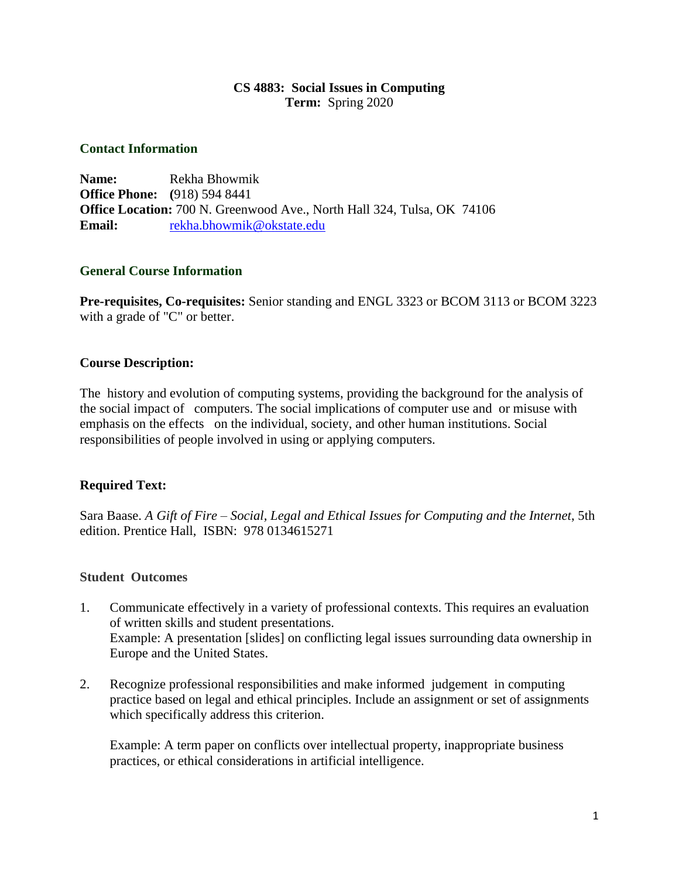# **CS 4883: Social Issues in Computing Term:** Spring 2020

### **Contact Information**

**Name:** Rekha Bhowmik **Office Phone: (**918) 594 8441 **Office Location:** 700 N. Greenwood Ave., North Hall 324, Tulsa, OK 74106 **Email:** [rekha.bhowmik@okstate.edu](mailto:rekha.bhowmik@okstate.edu)

# **General Course Information**

**Pre-requisites, Co-requisites:** Senior standing and ENGL 3323 or BCOM 3113 or BCOM 3223 with a grade of "C" or better.

# **Course Description:**

The history and evolution of computing systems, providing the background for the analysis of the social impact of computers. The social implications of computer use and or misuse with emphasis on the effects on the individual, society, and other human institutions. Social responsibilities of people involved in using or applying computers.

# **Required Text:**

Sara Baase. *A Gift of Fire – Social, Legal and Ethical Issues for Computing and the Internet*, 5th edition. Prentice Hall, ISBN: 978 0134615271

### **Student Outcomes**

- 1. Communicate effectively in a variety of professional contexts. This requires an evaluation of written skills and student presentations. Example: A presentation [slides] on conflicting legal issues surrounding data ownership in Europe and the United States.
- 2. Recognize professional responsibilities and make informed judgement in computing practice based on legal and ethical principles. Include an assignment or set of assignments which specifically address this criterion.

Example: A term paper on conflicts over intellectual property, inappropriate business practices, or ethical considerations in artificial intelligence.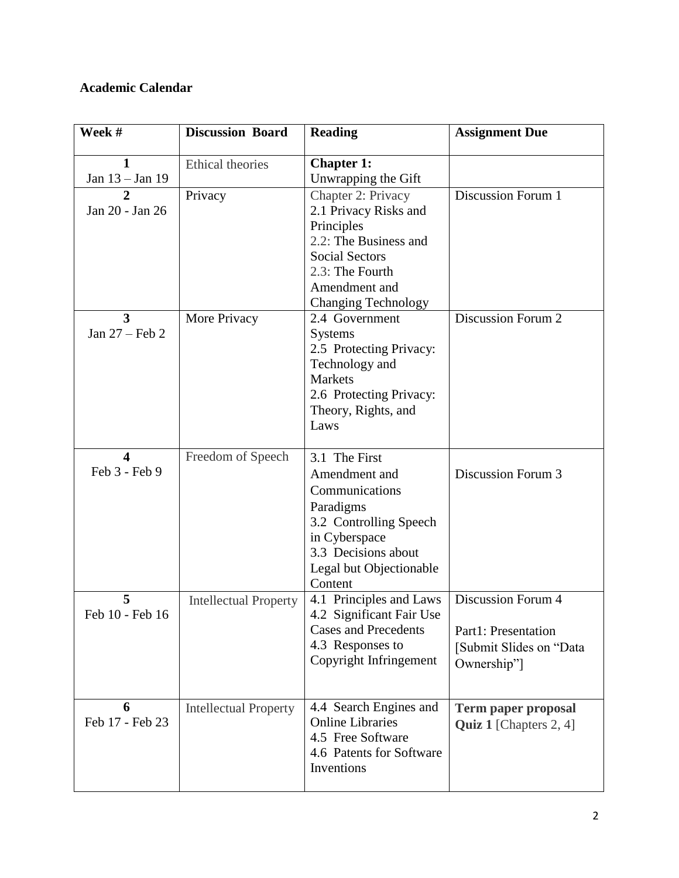# **Academic Calendar**

| Week #                                   | <b>Discussion Board</b>      | <b>Reading</b>                                                                                                                                                                | <b>Assignment Due</b>                                                                      |
|------------------------------------------|------------------------------|-------------------------------------------------------------------------------------------------------------------------------------------------------------------------------|--------------------------------------------------------------------------------------------|
| 1<br>Jan 13 - Jan 19                     | <b>Ethical theories</b>      | <b>Chapter 1:</b><br>Unwrapping the Gift                                                                                                                                      |                                                                                            |
| 2<br>Jan 20 - Jan 26                     | Privacy                      | Chapter 2: Privacy<br>2.1 Privacy Risks and<br>Principles<br>2.2: The Business and<br><b>Social Sectors</b><br>2.3: The Fourth<br>Amendment and<br><b>Changing Technology</b> | <b>Discussion Forum 1</b>                                                                  |
| 3<br>Jan $27$ – Feb 2                    | More Privacy                 | 2.4 Government<br><b>Systems</b><br>2.5 Protecting Privacy:<br>Technology and<br>Markets<br>2.6 Protecting Privacy:<br>Theory, Rights, and<br>Laws                            | Discussion Forum 2                                                                         |
| $\overline{\mathbf{4}}$<br>Feb 3 - Feb 9 | Freedom of Speech            | 3.1 The First<br>Amendment and<br>Communications<br>Paradigms<br>3.2 Controlling Speech<br>in Cyberspace<br>3.3 Decisions about<br>Legal but Objectionable<br>Content         | Discussion Forum 3                                                                         |
| 5<br>Feb 10 - Feb 16                     | <b>Intellectual Property</b> | 4.1 Principles and Laws<br>4.2 Significant Fair Use<br><b>Cases and Precedents</b><br>4.3 Responses to<br>Copyright Infringement                                              | <b>Discussion Forum 4</b><br>Part1: Presentation<br>[Submit Slides on "Data<br>Ownership"] |
| 6<br>Feb 17 - Feb 23                     | <b>Intellectual Property</b> | 4.4 Search Engines and<br><b>Online Libraries</b><br>4.5 Free Software<br>4.6 Patents for Software<br>Inventions                                                              | <b>Term paper proposal</b><br><b>Quiz 1</b> [Chapters $2, 4$ ]                             |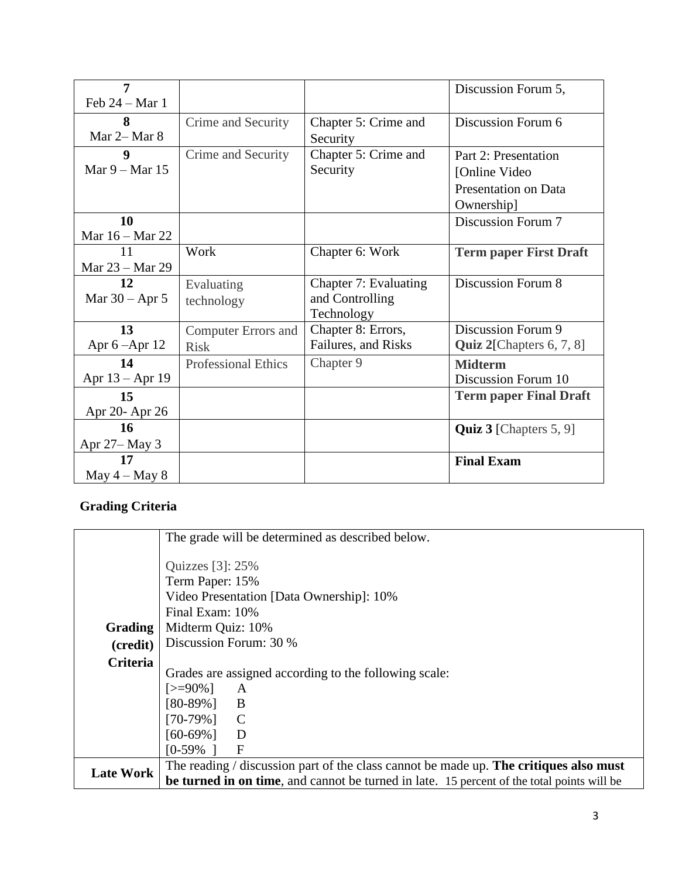| $\overline{7}$     |                            |                       | Discussion Forum 5,           |
|--------------------|----------------------------|-----------------------|-------------------------------|
| Feb $24 - Mar$ 1   |                            |                       |                               |
| 8                  | Crime and Security         | Chapter 5: Crime and  | Discussion Forum 6            |
| Mar 2– Mar 8       |                            | Security              |                               |
| 9                  | Crime and Security         | Chapter 5: Crime and  | Part 2: Presentation          |
| Mar $9 -$ Mar 15   |                            | Security              | [Online Video]                |
|                    |                            |                       | Presentation on Data          |
|                    |                            |                       | Ownership]                    |
| 10                 |                            |                       | Discussion Forum 7            |
| Mar 16 – Mar 22    |                            |                       |                               |
| 11                 | Work                       | Chapter 6: Work       | <b>Term paper First Draft</b> |
| Mar 23 – Mar 29    |                            |                       |                               |
| 12                 | Evaluating                 | Chapter 7: Evaluating | <b>Discussion Forum 8</b>     |
| Mar $30 -$ Apr 5   | technology                 | and Controlling       |                               |
|                    |                            | Technology            |                               |
| 13                 | <b>Computer Errors and</b> | Chapter 8: Errors,    | Discussion Forum 9            |
| Apr $6 -$ Apr $12$ | <b>Risk</b>                | Failures, and Risks   | Quiz 2[Chapters 6, 7, 8]      |
| 14                 | <b>Professional Ethics</b> | Chapter 9             | <b>Midterm</b>                |
| Apr $13 -$ Apr 19  |                            |                       | Discussion Forum 10           |
| 15                 |                            |                       | <b>Term paper Final Draft</b> |
| Apr 20- Apr 26     |                            |                       |                               |
| 16                 |                            |                       | <b>Quiz 3</b> [Chapters 5, 9] |
| Apr 27-May 3       |                            |                       |                               |
| 17                 |                            |                       | <b>Final Exam</b>             |
| May $4 -$ May $8$  |                            |                       |                               |

# **Grading Criteria**

|                  | The grade will be determined as described below.                                           |
|------------------|--------------------------------------------------------------------------------------------|
|                  |                                                                                            |
|                  | Quizzes $[3]$ : 25%                                                                        |
|                  | Term Paper: 15%                                                                            |
|                  | Video Presentation [Data Ownership]: 10%                                                   |
|                  | Final Exam: 10%                                                                            |
| <b>Grading</b>   | Midterm Quiz: 10%                                                                          |
| (credit)         | Discussion Forum: 30 %                                                                     |
| <b>Criteria</b>  |                                                                                            |
|                  | Grades are assigned according to the following scale:                                      |
|                  | $\left[>=90\% \right]$<br>A                                                                |
|                  | $[80-89\%]$ B                                                                              |
|                  | $[70-79\%]$ C                                                                              |
|                  | $[60-69\%]$<br>$\overline{D}$                                                              |
|                  | $\mathbf{F}$<br>$[0-59\%]$                                                                 |
| <b>Late Work</b> | The reading $\ell$ discussion part of the class cannot be made up. The critiques also must |
|                  | be turned in on time, and cannot be turned in late. 15 percent of the total points will be |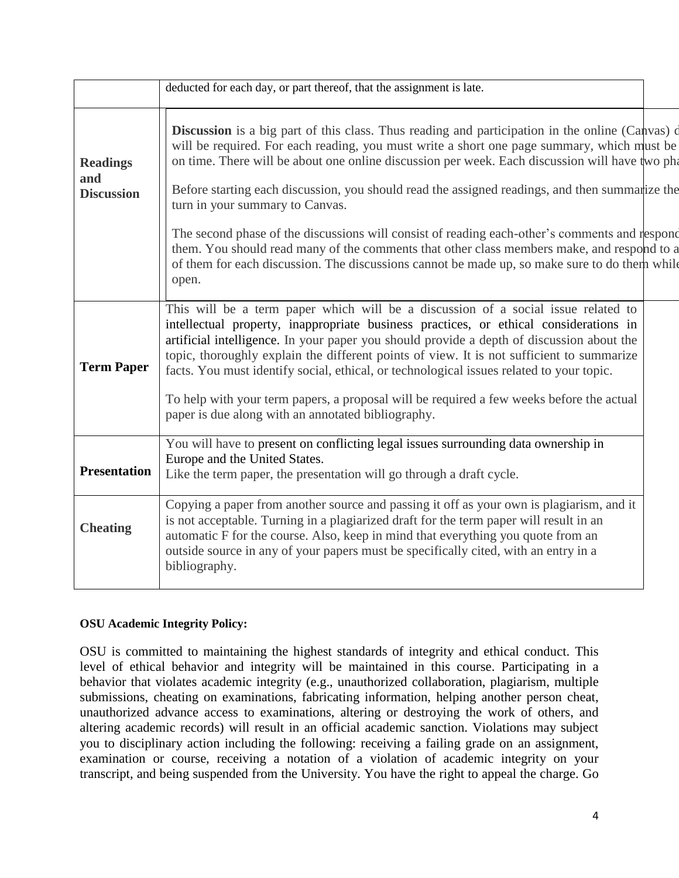|                                             | deducted for each day, or part thereof, that the assignment is late.                                                                                                                                                                                                                                                                                                                                                                                                                                                                                                                                                                                                                                                                                  |
|---------------------------------------------|-------------------------------------------------------------------------------------------------------------------------------------------------------------------------------------------------------------------------------------------------------------------------------------------------------------------------------------------------------------------------------------------------------------------------------------------------------------------------------------------------------------------------------------------------------------------------------------------------------------------------------------------------------------------------------------------------------------------------------------------------------|
| <b>Readings</b><br>and<br><b>Discussion</b> | <b>Discussion</b> is a big part of this class. Thus reading and participation in the online (Canvas) of<br>will be required. For each reading, you must write a short one page summary, which must be<br>on time. There will be about one online discussion per week. Each discussion will have two pha<br>Before starting each discussion, you should read the assigned readings, and then summarize the<br>turn in your summary to Canvas.<br>The second phase of the discussions will consist of reading each-other's comments and respond<br>them. You should read many of the comments that other class members make, and respond to a<br>of them for each discussion. The discussions cannot be made up, so make sure to do them while<br>open. |
| <b>Term Paper</b>                           | This will be a term paper which will be a discussion of a social issue related to<br>intellectual property, inappropriate business practices, or ethical considerations in<br>artificial intelligence. In your paper you should provide a depth of discussion about the<br>topic, thoroughly explain the different points of view. It is not sufficient to summarize<br>facts. You must identify social, ethical, or technological issues related to your topic.<br>To help with your term papers, a proposal will be required a few weeks before the actual<br>paper is due along with an annotated bibliography.                                                                                                                                    |
| <b>Presentation</b>                         | You will have to present on conflicting legal issues surrounding data ownership in<br>Europe and the United States.<br>Like the term paper, the presentation will go through a draft cycle.                                                                                                                                                                                                                                                                                                                                                                                                                                                                                                                                                           |
| <b>Cheating</b>                             | Copying a paper from another source and passing it off as your own is plagiarism, and it<br>is not acceptable. Turning in a plagiarized draft for the term paper will result in an<br>automatic F for the course. Also, keep in mind that everything you quote from an<br>outside source in any of your papers must be specifically cited, with an entry in a<br>bibliography.                                                                                                                                                                                                                                                                                                                                                                        |

### **OSU Academic Integrity Policy:**

OSU is committed to maintaining the highest standards of integrity and ethical conduct. This level of ethical behavior and integrity will be maintained in this course. Participating in a behavior that violates academic integrity (e.g., unauthorized collaboration, plagiarism, multiple submissions, cheating on examinations, fabricating information, helping another person cheat, unauthorized advance access to examinations, altering or destroying the work of others, and altering academic records) will result in an official academic sanction. Violations may subject you to disciplinary action including the following: receiving a failing grade on an assignment, examination or course, receiving a notation of a violation of academic integrity on your transcript, and being suspended from the University. You have the right to appeal the charge. Go